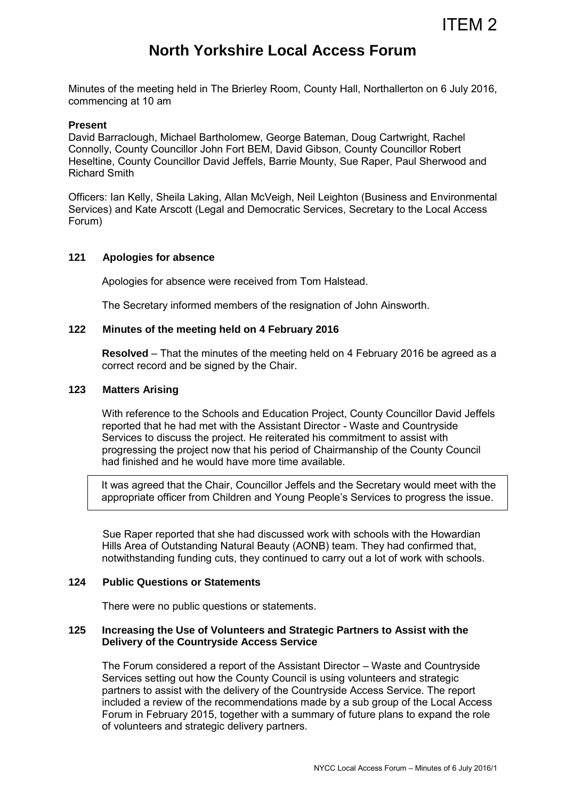# **North Yorkshire Local Access Forum**

Minutes of the meeting held in The Brierley Room, County Hall, Northallerton on 6 July 2016, commencing at 10 am

#### **Present**

David Barraclough, Michael Bartholomew, George Bateman, Doug Cartwright, Rachel Connolly, County Councillor John Fort BEM, David Gibson, County Councillor Robert Heseltine, County Councillor David Jeffels, Barrie Mounty, Sue Raper, Paul Sherwood and Richard Smith

Officers: Ian Kelly, Sheila Laking, Allan McVeigh, Neil Leighton (Business and Environmental Services) and Kate Arscott (Legal and Democratic Services, Secretary to the Local Access Forum)

#### **121 Apologies for absence**

Apologies for absence were received from Tom Halstead.

The Secretary informed members of the resignation of John Ainsworth.

#### **122 Minutes of the meeting held on 4 February 2016**

**Resolved** – That the minutes of the meeting held on 4 February 2016 be agreed as a correct record and be signed by the Chair.

## **123 Matters Arising**

 With reference to the Schools and Education Project, County Councillor David Jeffels reported that he had met with the Assistant Director - Waste and Countryside Services to discuss the project. He reiterated his commitment to assist with progressing the project now that his period of Chairmanship of the County Council had finished and he would have more time available.

It was agreed that the Chair, Councillor Jeffels and the Secretary would meet with the appropriate officer from Children and Young People's Services to progress the issue.

Sue Raper reported that she had discussed work with schools with the Howardian Hills Area of Outstanding Natural Beauty (AONB) team. They had confirmed that, notwithstanding funding cuts, they continued to carry out a lot of work with schools.

#### **124 Public Questions or Statements**

There were no public questions or statements.

## **125 Increasing the Use of Volunteers and Strategic Partners to Assist with the Delivery of the Countryside Access Service**

The Forum considered a report of the Assistant Director – Waste and Countryside Services setting out how the County Council is using volunteers and strategic partners to assist with the delivery of the Countryside Access Service. The report included a review of the recommendations made by a sub group of the Local Access Forum in February 2015, together with a summary of future plans to expand the role of volunteers and strategic delivery partners.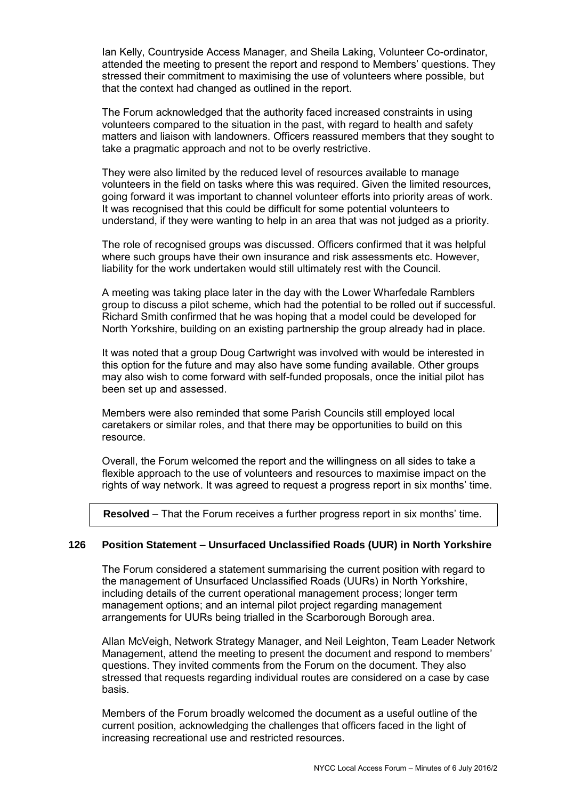Ian Kelly, Countryside Access Manager, and Sheila Laking, Volunteer Co-ordinator, attended the meeting to present the report and respond to Members' questions. They stressed their commitment to maximising the use of volunteers where possible, but that the context had changed as outlined in the report.

The Forum acknowledged that the authority faced increased constraints in using volunteers compared to the situation in the past, with regard to health and safety matters and liaison with landowners. Officers reassured members that they sought to take a pragmatic approach and not to be overly restrictive.

They were also limited by the reduced level of resources available to manage volunteers in the field on tasks where this was required. Given the limited resources, going forward it was important to channel volunteer efforts into priority areas of work. It was recognised that this could be difficult for some potential volunteers to understand, if they were wanting to help in an area that was not judged as a priority.

The role of recognised groups was discussed. Officers confirmed that it was helpful where such groups have their own insurance and risk assessments etc. However, liability for the work undertaken would still ultimately rest with the Council.

A meeting was taking place later in the day with the Lower Wharfedale Ramblers group to discuss a pilot scheme, which had the potential to be rolled out if successful. Richard Smith confirmed that he was hoping that a model could be developed for North Yorkshire, building on an existing partnership the group already had in place.

It was noted that a group Doug Cartwright was involved with would be interested in this option for the future and may also have some funding available. Other groups may also wish to come forward with self-funded proposals, once the initial pilot has been set up and assessed.

Members were also reminded that some Parish Councils still employed local caretakers or similar roles, and that there may be opportunities to build on this resource.

Overall, the Forum welcomed the report and the willingness on all sides to take a flexible approach to the use of volunteers and resources to maximise impact on the rights of way network. It was agreed to request a progress report in six months' time.

**Resolved** – That the Forum receives a further progress report in six months' time.

#### **126 Position Statement – Unsurfaced Unclassified Roads (UUR) in North Yorkshire**

The Forum considered a statement summarising the current position with regard to the management of Unsurfaced Unclassified Roads (UURs) in North Yorkshire, including details of the current operational management process; longer term management options; and an internal pilot project regarding management arrangements for UURs being trialled in the Scarborough Borough area.

Allan McVeigh, Network Strategy Manager, and Neil Leighton, Team Leader Network Management, attend the meeting to present the document and respond to members' questions. They invited comments from the Forum on the document. They also stressed that requests regarding individual routes are considered on a case by case basis.

Members of the Forum broadly welcomed the document as a useful outline of the current position, acknowledging the challenges that officers faced in the light of increasing recreational use and restricted resources.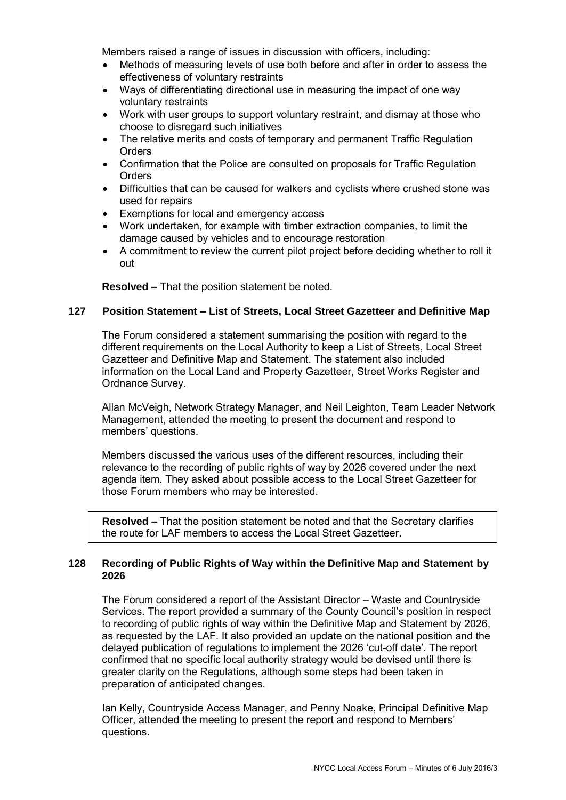Members raised a range of issues in discussion with officers, including:

- Methods of measuring levels of use both before and after in order to assess the effectiveness of voluntary restraints
- Ways of differentiating directional use in measuring the impact of one way voluntary restraints
- Work with user groups to support voluntary restraint, and dismay at those who choose to disregard such initiatives
- The relative merits and costs of temporary and permanent Traffic Regulation **Orders**
- Confirmation that the Police are consulted on proposals for Traffic Regulation **Orders**
- Difficulties that can be caused for walkers and cyclists where crushed stone was used for repairs
- Exemptions for local and emergency access
- Work undertaken, for example with timber extraction companies, to limit the damage caused by vehicles and to encourage restoration
- A commitment to review the current pilot project before deciding whether to roll it out

**Resolved –** That the position statement be noted.

## **127 Position Statement – List of Streets, Local Street Gazetteer and Definitive Map**

The Forum considered a statement summarising the position with regard to the different requirements on the Local Authority to keep a List of Streets, Local Street Gazetteer and Definitive Map and Statement. The statement also included information on the Local Land and Property Gazetteer, Street Works Register and Ordnance Survey.

Allan McVeigh, Network Strategy Manager, and Neil Leighton, Team Leader Network Management, attended the meeting to present the document and respond to members' questions.

Members discussed the various uses of the different resources, including their relevance to the recording of public rights of way by 2026 covered under the next agenda item. They asked about possible access to the Local Street Gazetteer for those Forum members who may be interested.

**Resolved –** That the position statement be noted and that the Secretary clarifies the route for LAF members to access the Local Street Gazetteer.

## **128 Recording of Public Rights of Way within the Definitive Map and Statement by 2026**

The Forum considered a report of the Assistant Director – Waste and Countryside Services. The report provided a summary of the County Council's position in respect to recording of public rights of way within the Definitive Map and Statement by 2026, as requested by the LAF. It also provided an update on the national position and the delayed publication of regulations to implement the 2026 'cut-off date'. The report confirmed that no specific local authority strategy would be devised until there is greater clarity on the Regulations, although some steps had been taken in preparation of anticipated changes.

Ian Kelly, Countryside Access Manager, and Penny Noake, Principal Definitive Map Officer, attended the meeting to present the report and respond to Members' questions.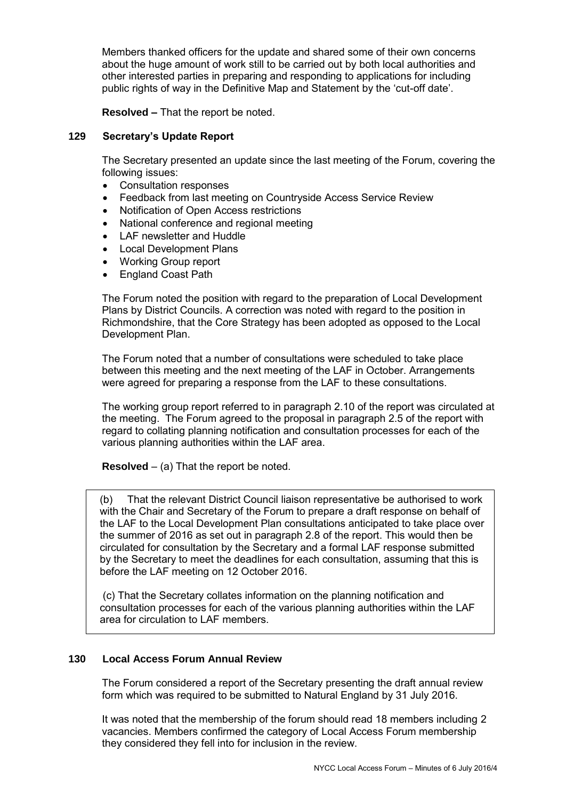Members thanked officers for the update and shared some of their own concerns about the huge amount of work still to be carried out by both local authorities and other interested parties in preparing and responding to applications for including public rights of way in the Definitive Map and Statement by the 'cut-off date'.

**Resolved –** That the report be noted.

## **129 Secretary's Update Report**

 The Secretary presented an update since the last meeting of the Forum, covering the following issues:

- Consultation responses
- Feedback from last meeting on Countryside Access Service Review
- Notification of Open Access restrictions
- National conference and regional meeting
- LAF newsletter and Huddle
- Local Development Plans
- Working Group report
- England Coast Path

The Forum noted the position with regard to the preparation of Local Development Plans by District Councils. A correction was noted with regard to the position in Richmondshire, that the Core Strategy has been adopted as opposed to the Local Development Plan.

The Forum noted that a number of consultations were scheduled to take place between this meeting and the next meeting of the LAF in October. Arrangements were agreed for preparing a response from the LAF to these consultations.

The working group report referred to in paragraph 2.10 of the report was circulated at the meeting. The Forum agreed to the proposal in paragraph 2.5 of the report with regard to collating planning notification and consultation processes for each of the various planning authorities within the LAF area.

**Resolved** – (a) That the report be noted.

(b) That the relevant District Council liaison representative be authorised to work with the Chair and Secretary of the Forum to prepare a draft response on behalf of the LAF to the Local Development Plan consultations anticipated to take place over the summer of 2016 as set out in paragraph 2.8 of the report. This would then be circulated for consultation by the Secretary and a formal LAF response submitted by the Secretary to meet the deadlines for each consultation, assuming that this is before the LAF meeting on 12 October 2016.

(c) That the Secretary collates information on the planning notification and consultation processes for each of the various planning authorities within the LAF area for circulation to LAF members.

#### **130 Local Access Forum Annual Review**

The Forum considered a report of the Secretary presenting the draft annual review form which was required to be submitted to Natural England by 31 July 2016.

It was noted that the membership of the forum should read 18 members including 2 vacancies. Members confirmed the category of Local Access Forum membership they considered they fell into for inclusion in the review.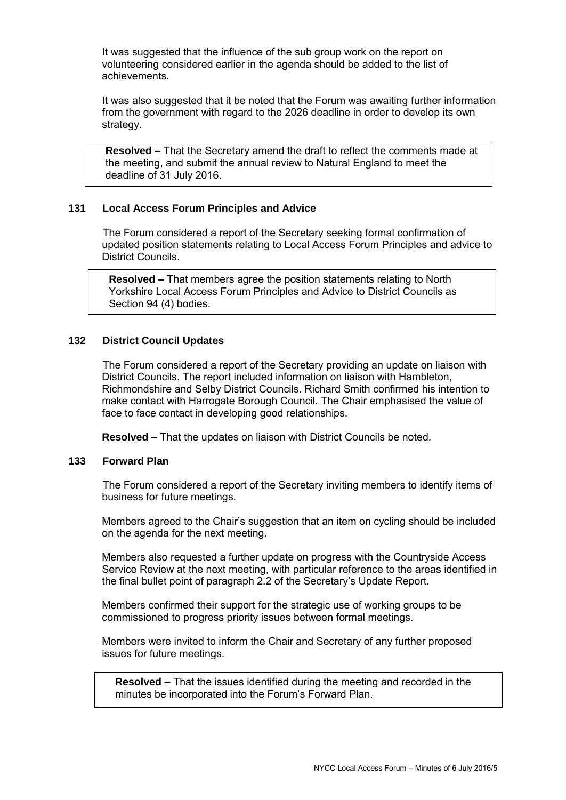It was suggested that the influence of the sub group work on the report on volunteering considered earlier in the agenda should be added to the list of achievements.

It was also suggested that it be noted that the Forum was awaiting further information from the government with regard to the 2026 deadline in order to develop its own strategy.

**Resolved –** That the Secretary amend the draft to reflect the comments made at the meeting, and submit the annual review to Natural England to meet the deadline of 31 July 2016.

## **131 Local Access Forum Principles and Advice**

The Forum considered a report of the Secretary seeking formal confirmation of updated position statements relating to Local Access Forum Principles and advice to District Councils.

**Resolved –** That members agree the position statements relating to North Yorkshire Local Access Forum Principles and Advice to District Councils as Section 94 (4) bodies.

## **132 District Council Updates**

The Forum considered a report of the Secretary providing an update on liaison with District Councils. The report included information on liaison with Hambleton, Richmondshire and Selby District Councils. Richard Smith confirmed his intention to make contact with Harrogate Borough Council. The Chair emphasised the value of face to face contact in developing good relationships.

**Resolved –** That the updates on liaison with District Councils be noted.

#### **133 Forward Plan**

The Forum considered a report of the Secretary inviting members to identify items of business for future meetings.

Members agreed to the Chair's suggestion that an item on cycling should be included on the agenda for the next meeting.

Members also requested a further update on progress with the Countryside Access Service Review at the next meeting, with particular reference to the areas identified in the final bullet point of paragraph 2.2 of the Secretary's Update Report.

Members confirmed their support for the strategic use of working groups to be commissioned to progress priority issues between formal meetings.

Members were invited to inform the Chair and Secretary of any further proposed issues for future meetings.

**Resolved –** That the issues identified during the meeting and recorded in the minutes be incorporated into the Forum's Forward Plan.